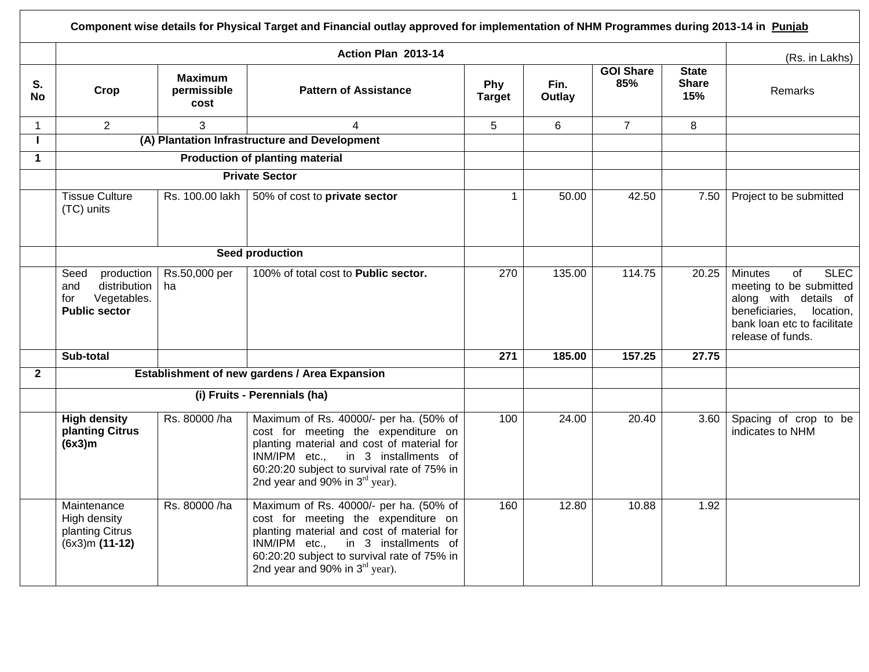|              |                                                                                         |                                       | Component wise details for Physical Target and Financial outlay approved for implementation of NHM Programmes during 2013-14 in Punjab                                                                                                                  |                      |                |                         |                                     |                                                                                                                                                                                    |
|--------------|-----------------------------------------------------------------------------------------|---------------------------------------|---------------------------------------------------------------------------------------------------------------------------------------------------------------------------------------------------------------------------------------------------------|----------------------|----------------|-------------------------|-------------------------------------|------------------------------------------------------------------------------------------------------------------------------------------------------------------------------------|
|              |                                                                                         |                                       | Action Plan 2013-14                                                                                                                                                                                                                                     |                      |                |                         |                                     | (Rs. in Lakhs)                                                                                                                                                                     |
| S.<br>No     | Crop                                                                                    | <b>Maximum</b><br>permissible<br>cost | <b>Pattern of Assistance</b>                                                                                                                                                                                                                            | Phy<br><b>Target</b> | Fin.<br>Outlay | <b>GOI Share</b><br>85% | <b>State</b><br><b>Share</b><br>15% | Remarks                                                                                                                                                                            |
| $\mathbf{1}$ | $\overline{2}$                                                                          | 3                                     | 4                                                                                                                                                                                                                                                       | 5                    | 6              | $\overline{7}$          | 8                                   |                                                                                                                                                                                    |
| п.           | (A) Plantation Infrastructure and Development                                           |                                       |                                                                                                                                                                                                                                                         |                      |                |                         |                                     |                                                                                                                                                                                    |
| $\mathbf 1$  |                                                                                         |                                       | <b>Production of planting material</b>                                                                                                                                                                                                                  |                      |                |                         |                                     |                                                                                                                                                                                    |
|              |                                                                                         |                                       | <b>Private Sector</b>                                                                                                                                                                                                                                   |                      |                |                         |                                     |                                                                                                                                                                                    |
|              | <b>Tissue Culture</b><br>(TC) units                                                     | Rs. 100.00 lakh                       | 50% of cost to private sector                                                                                                                                                                                                                           | $\mathbf{1}$         | 50.00          | 42.50                   | 7.50                                | Project to be submitted                                                                                                                                                            |
|              |                                                                                         | Seed production                       |                                                                                                                                                                                                                                                         |                      |                |                         |                                     |                                                                                                                                                                                    |
|              | production<br>Seed<br>distribution<br>and<br>Vegetables.<br>for<br><b>Public sector</b> | Rs.50,000 per<br>ha                   | 100% of total cost to Public sector.                                                                                                                                                                                                                    | 270                  | 135.00         | 114.75                  | 20.25                               | <b>SLEC</b><br><b>Minutes</b><br>$\sigma$ f<br>meeting to be submitted<br>along with details of<br>beneficiaries,<br>location,<br>bank loan etc to facilitate<br>release of funds. |
|              | Sub-total                                                                               |                                       |                                                                                                                                                                                                                                                         | $\overline{271}$     | 185.00         | 157.25                  | 27.75                               |                                                                                                                                                                                    |
| $\mathbf{2}$ |                                                                                         |                                       | Establishment of new gardens / Area Expansion                                                                                                                                                                                                           |                      |                |                         |                                     |                                                                                                                                                                                    |
|              |                                                                                         |                                       | (i) Fruits - Perennials (ha)                                                                                                                                                                                                                            |                      |                |                         |                                     |                                                                                                                                                                                    |
|              | <b>High density</b><br>planting Citrus<br>(6x3)m                                        | Rs. 80000 /ha                         | Maximum of Rs. 40000/- per ha. (50% of<br>cost for meeting the expenditure on<br>planting material and cost of material for<br>INM/IPM etc., in 3 installments of<br>60:20:20 subject to survival rate of 75% in<br>2nd year and 90% in $3rd$ year).    | 100                  | 24.00          | 20.40                   | 3.60                                | Spacing of crop to be<br>indicates to NHM                                                                                                                                          |
|              | Maintenance<br>High density<br>planting Citrus<br>$(6x3)m(11-12)$                       | Rs. 80000 /ha                         | Maximum of Rs. 40000/- per ha. (50% of<br>cost for meeting the expenditure on<br>planting material and cost of material for<br>INM/IPM etc.,<br>in 3 installments of<br>60:20:20 subject to survival rate of 75% in<br>2nd year and 90% in $3rd$ year). | 160                  | 12.80          | 10.88                   | 1.92                                |                                                                                                                                                                                    |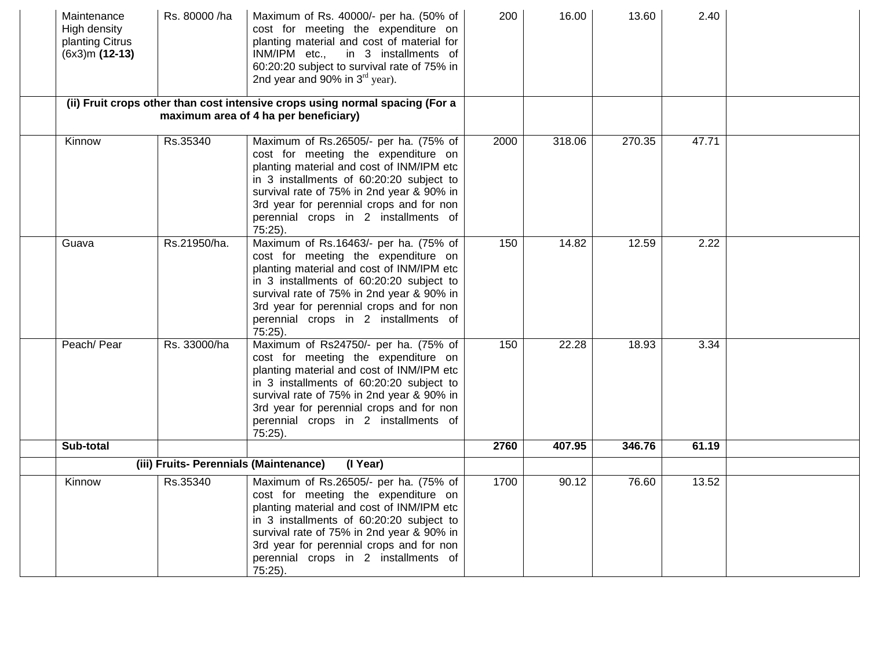| Maintenance<br>High density<br>planting Citrus<br>$(6x3)m(12-13)$ | Rs. 80000 /ha                          | Maximum of Rs. 40000/- per ha. (50% of<br>cost for meeting the expenditure on<br>planting material and cost of material for<br>INM/IPM etc.,<br>in 3 installments of<br>60:20:20 subject to survival rate of 75% in<br>2nd year and 90% in $3rd$ year).                                                              | 200  | 16.00  | 13.60  | 2.40  |  |
|-------------------------------------------------------------------|----------------------------------------|----------------------------------------------------------------------------------------------------------------------------------------------------------------------------------------------------------------------------------------------------------------------------------------------------------------------|------|--------|--------|-------|--|
|                                                                   |                                        | (ii) Fruit crops other than cost intensive crops using normal spacing (For a<br>maximum area of 4 ha per beneficiary)                                                                                                                                                                                                |      |        |        |       |  |
| Kinnow                                                            | Rs.35340                               | Maximum of Rs.26505/- per ha. (75% of<br>cost for meeting the expenditure on<br>planting material and cost of INM/IPM etc<br>in 3 installments of 60:20:20 subject to<br>survival rate of 75% in 2nd year & 90% in<br>3rd year for perennial crops and for non<br>perennial crops in 2 installments of<br>75:25).    | 2000 | 318.06 | 270.35 | 47.71 |  |
| Guava                                                             | Rs.21950/ha.                           | Maximum of Rs.16463/- per ha. (75% of<br>cost for meeting the expenditure on<br>planting material and cost of INM/IPM etc<br>in 3 installments of 60:20:20 subject to<br>survival rate of 75% in 2nd year & 90% in<br>3rd year for perennial crops and for non<br>perennial crops in 2 installments of<br>$75:25$ ). | 150  | 14.82  | 12.59  | 2.22  |  |
| Peach/ Pear                                                       | Rs. 33000/ha                           | Maximum of Rs24750/- per ha. (75% of<br>cost for meeting the expenditure on<br>planting material and cost of INM/IPM etc<br>in 3 installments of 60:20:20 subject to<br>survival rate of 75% in 2nd year & 90% in<br>3rd year for perennial crops and for non<br>perennial crops in 2 installments of<br>75:25).     | 150  | 22.28  | 18.93  | 3.34  |  |
| Sub-total                                                         |                                        |                                                                                                                                                                                                                                                                                                                      | 2760 | 407.95 | 346.76 | 61.19 |  |
|                                                                   | (iii) Fruits- Perennials (Maintenance) | (I Year)                                                                                                                                                                                                                                                                                                             |      |        |        |       |  |
| Kinnow                                                            | Rs.35340                               | Maximum of Rs.26505/- per ha. (75% of<br>cost for meeting the expenditure on<br>planting material and cost of INM/IPM etc<br>in 3 installments of 60:20:20 subject to<br>survival rate of 75% in 2nd year & 90% in<br>3rd year for perennial crops and for non<br>perennial crops in 2 installments of<br>75:25).    | 1700 | 90.12  | 76.60  | 13.52 |  |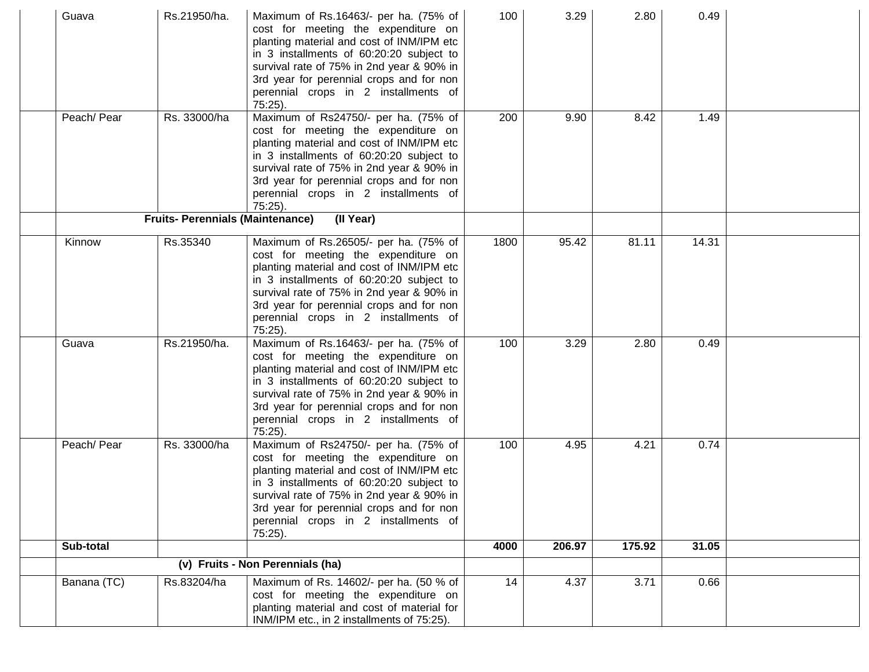| Guava       | Rs.21950/ha.                            | Maximum of Rs.16463/- per ha. (75% of<br>cost for meeting the expenditure on<br>planting material and cost of INM/IPM etc<br>in 3 installments of 60:20:20 subject to<br>survival rate of 75% in 2nd year & 90% in<br>3rd year for perennial crops and for non<br>perennial crops in 2 installments of<br>$75:25$ ). | 100  | 3.29   | 2.80   | 0.49  |  |
|-------------|-----------------------------------------|----------------------------------------------------------------------------------------------------------------------------------------------------------------------------------------------------------------------------------------------------------------------------------------------------------------------|------|--------|--------|-------|--|
| Peach/ Pear | Rs. 33000/ha                            | Maximum of Rs24750/- per ha. (75% of<br>cost for meeting the expenditure on<br>planting material and cost of INM/IPM etc<br>in 3 installments of 60:20:20 subject to<br>survival rate of 75% in 2nd year & 90% in<br>3rd year for perennial crops and for non<br>perennial crops in 2 installments of<br>$75:25$ ).  | 200  | 9.90   | 8.42   | 1.49  |  |
|             | <b>Fruits- Perennials (Maintenance)</b> | (II Year)                                                                                                                                                                                                                                                                                                            |      |        |        |       |  |
| Kinnow      | Rs.35340                                | Maximum of Rs.26505/- per ha. (75% of<br>cost for meeting the expenditure on<br>planting material and cost of INM/IPM etc<br>in 3 installments of 60:20:20 subject to<br>survival rate of 75% in 2nd year & 90% in<br>3rd year for perennial crops and for non<br>perennial crops in 2 installments of<br>$75:25$ ). | 1800 | 95.42  | 81.11  | 14.31 |  |
| Guava       | Rs.21950/ha.                            | Maximum of Rs.16463/- per ha. (75% of<br>cost for meeting the expenditure on<br>planting material and cost of INM/IPM etc<br>in 3 installments of 60:20:20 subject to<br>survival rate of 75% in 2nd year & 90% in<br>3rd year for perennial crops and for non<br>perennial crops in 2 installments of<br>$75:25$ ). | 100  | 3.29   | 2.80   | 0.49  |  |
| Peach/ Pear | Rs. 33000/ha                            | Maximum of Rs24750/- per ha. (75% of<br>cost for meeting the expenditure on<br>planting material and cost of INM/IPM etc<br>in 3 installments of 60:20:20 subject to<br>survival rate of 75% in 2nd year & 90% in<br>3rd year for perennial crops and for non<br>perennial crops in 2 installments of<br>$75:25$ ).  | 100  | 4.95   | 4.21   | 0.74  |  |
| Sub-total   |                                         |                                                                                                                                                                                                                                                                                                                      | 4000 | 206.97 | 175.92 | 31.05 |  |
|             |                                         | (v) Fruits - Non Perennials (ha)                                                                                                                                                                                                                                                                                     |      |        |        |       |  |
| Banana (TC) | Rs.83204/ha                             | Maximum of Rs. 14602/- per ha. (50 % of<br>cost for meeting the expenditure on<br>planting material and cost of material for<br>INM/IPM etc., in 2 installments of 75:25).                                                                                                                                           | 14   | 4.37   | 3.71   | 0.66  |  |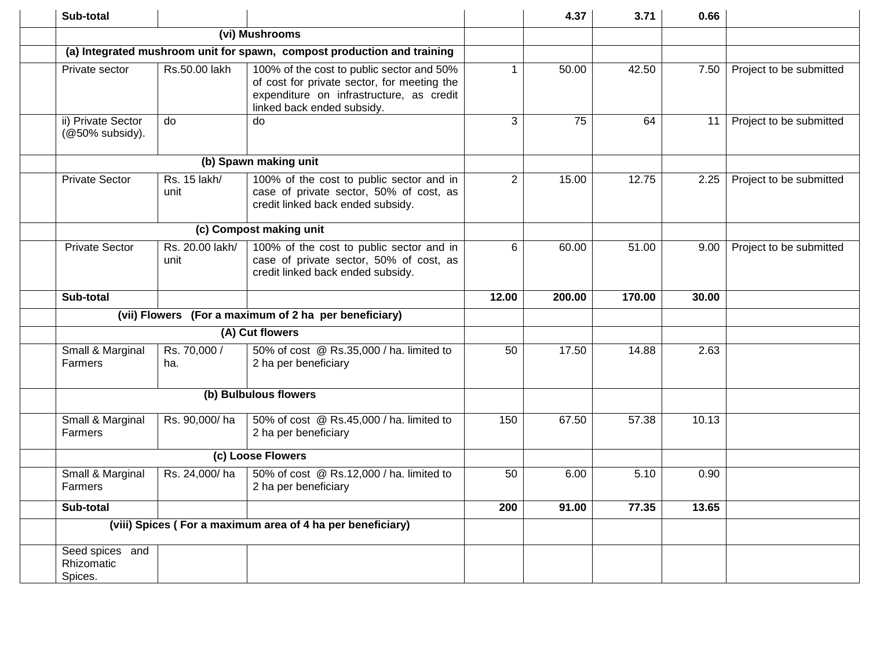| Sub-total                                |                         |                                                                                                                                                                    |                | 4.37   | 3.71   | 0.66  |                         |
|------------------------------------------|-------------------------|--------------------------------------------------------------------------------------------------------------------------------------------------------------------|----------------|--------|--------|-------|-------------------------|
|                                          |                         | (vi) Mushrooms                                                                                                                                                     |                |        |        |       |                         |
|                                          |                         | (a) Integrated mushroom unit for spawn, compost production and training                                                                                            |                |        |        |       |                         |
| Private sector                           | Rs.50.00 lakh           | 100% of the cost to public sector and 50%<br>of cost for private sector, for meeting the<br>expenditure on infrastructure, as credit<br>linked back ended subsidy. | $\mathbf{1}$   | 50.00  | 42.50  | 7.50  | Project to be submitted |
| ii) Private Sector<br>(@50% subsidy).    | do                      | do                                                                                                                                                                 | 3              | 75     | 64     | 11    | Project to be submitted |
|                                          |                         | (b) Spawn making unit                                                                                                                                              |                |        |        |       |                         |
| <b>Private Sector</b>                    | Rs. 15 lakh/<br>unit    | 100% of the cost to public sector and in<br>case of private sector, 50% of cost, as<br>credit linked back ended subsidy.                                           | $\overline{2}$ | 15.00  | 12.75  | 2.25  | Project to be submitted |
|                                          | (c) Compost making unit |                                                                                                                                                                    |                |        |        |       |                         |
| <b>Private Sector</b>                    | Rs. 20.00 lakh/<br>unit | 100% of the cost to public sector and in<br>case of private sector, 50% of cost, as<br>credit linked back ended subsidy.                                           | 6              | 60.00  | 51.00  | 9.00  | Project to be submitted |
| Sub-total                                |                         |                                                                                                                                                                    | 12.00          | 200.00 | 170.00 | 30.00 |                         |
|                                          |                         | (vii) Flowers (For a maximum of 2 ha per beneficiary)                                                                                                              |                |        |        |       |                         |
| (A) Cut flowers                          |                         |                                                                                                                                                                    |                |        |        |       |                         |
| Small & Marginal<br>Farmers              | Rs. 70,000 /<br>ha.     | 50% of cost @ Rs.35,000 / ha. limited to<br>2 ha per beneficiary                                                                                                   | 50             | 17.50  | 14.88  | 2.63  |                         |
|                                          |                         | (b) Bulbulous flowers                                                                                                                                              |                |        |        |       |                         |
| Small & Marginal<br><b>Farmers</b>       | Rs. 90,000/ha           | 50% of cost @ Rs.45,000 / ha. limited to<br>2 ha per beneficiary                                                                                                   | 150            | 67.50  | 57.38  | 10.13 |                         |
| (c) Loose Flowers                        |                         |                                                                                                                                                                    |                |        |        |       |                         |
| Small & Marginal<br>Farmers              | Rs. 24,000/ha           | 50% of cost @ Rs.12,000 / ha. limited to<br>2 ha per beneficiary                                                                                                   | 50             | 6.00   | 5.10   | 0.90  |                         |
| Sub-total                                |                         |                                                                                                                                                                    | 200            | 91.00  | 77.35  | 13.65 |                         |
|                                          |                         | (viii) Spices (For a maximum area of 4 ha per beneficiary)                                                                                                         |                |        |        |       |                         |
| Seed spices and<br>Rhizomatic<br>Spices. |                         |                                                                                                                                                                    |                |        |        |       |                         |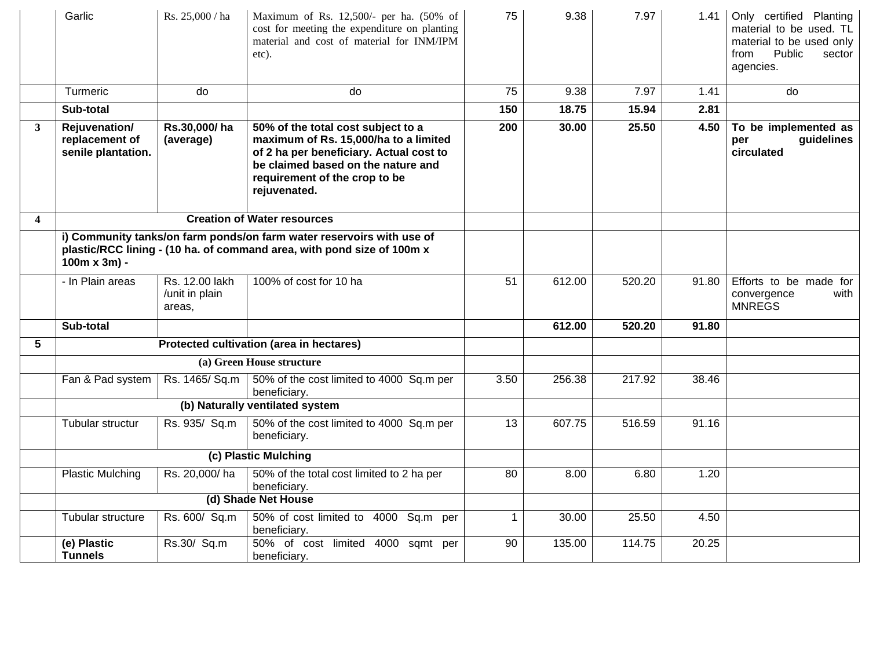|                         | Garlic                                                                                                                                                                  | Rs. 25,000 / ha                            | Maximum of Rs. 12,500/- per ha. (50% of<br>cost for meeting the expenditure on planting<br>material and cost of material for INM/IPM<br>etc).                                                                 | 75           | 9.38   | 7.97   | 1.41  | Only certified Planting<br>material to be used. TL<br>material to be used only<br>Public<br>from<br>sector<br>agencies. |
|-------------------------|-------------------------------------------------------------------------------------------------------------------------------------------------------------------------|--------------------------------------------|---------------------------------------------------------------------------------------------------------------------------------------------------------------------------------------------------------------|--------------|--------|--------|-------|-------------------------------------------------------------------------------------------------------------------------|
|                         | <b>Turmeric</b>                                                                                                                                                         | do                                         | do                                                                                                                                                                                                            | 75           | 9.38   | 7.97   | 1.41  | do                                                                                                                      |
|                         | Sub-total                                                                                                                                                               |                                            |                                                                                                                                                                                                               | 150          | 18.75  | 15.94  | 2.81  |                                                                                                                         |
| 3                       | Rejuvenation/<br>replacement of<br>senile plantation.                                                                                                                   | Rs.30,000/ha<br>(average)                  | 50% of the total cost subject to a<br>maximum of Rs. 15,000/ha to a limited<br>of 2 ha per beneficiary. Actual cost to<br>be claimed based on the nature and<br>requirement of the crop to be<br>rejuvenated. | 200          | 30.00  | 25.50  | 4.50  | To be implemented as<br>guidelines<br>per<br>circulated                                                                 |
| $\overline{\mathbf{4}}$ |                                                                                                                                                                         |                                            | <b>Creation of Water resources</b>                                                                                                                                                                            |              |        |        |       |                                                                                                                         |
|                         | i) Community tanks/on farm ponds/on farm water reservoirs with use of<br>plastic/RCC lining - (10 ha. of command area, with pond size of 100m x<br>$100m \times 3m$ ) - |                                            |                                                                                                                                                                                                               |              |        |        |       |                                                                                                                         |
|                         | - In Plain areas                                                                                                                                                        | Rs. 12.00 lakh<br>/unit in plain<br>areas, | 100% of cost for 10 ha                                                                                                                                                                                        | 51           | 612.00 | 520.20 | 91.80 | Efforts to be made for<br>convergence<br>with<br><b>MNREGS</b>                                                          |
|                         | Sub-total                                                                                                                                                               |                                            |                                                                                                                                                                                                               |              | 612.00 | 520.20 | 91.80 |                                                                                                                         |
| 5                       |                                                                                                                                                                         |                                            | Protected cultivation (area in hectares)                                                                                                                                                                      |              |        |        |       |                                                                                                                         |
|                         |                                                                                                                                                                         |                                            | (a) Green House structure                                                                                                                                                                                     |              |        |        |       |                                                                                                                         |
|                         | Fan & Pad system                                                                                                                                                        | Rs. 1465/ Sq.m                             | 50% of the cost limited to 4000 Sq.m per<br>beneficiary.                                                                                                                                                      | 3.50         | 256.38 | 217.92 | 38.46 |                                                                                                                         |
|                         |                                                                                                                                                                         |                                            | (b) Naturally ventilated system                                                                                                                                                                               |              |        |        |       |                                                                                                                         |
|                         | Tubular structur                                                                                                                                                        | Rs. 935/ Sq.m                              | 50% of the cost limited to 4000 Sq.m per<br>beneficiary.                                                                                                                                                      | 13           | 607.75 | 516.59 | 91.16 |                                                                                                                         |
|                         |                                                                                                                                                                         | (c) Plastic Mulching                       |                                                                                                                                                                                                               |              |        |        |       |                                                                                                                         |
|                         | <b>Plastic Mulching</b>                                                                                                                                                 | Rs. 20,000/ha                              | 50% of the total cost limited to 2 ha per<br>beneficiary.                                                                                                                                                     | 80           | 8.00   | 6.80   | 1.20  |                                                                                                                         |
|                         |                                                                                                                                                                         |                                            | (d) Shade Net House                                                                                                                                                                                           |              |        |        |       |                                                                                                                         |
|                         | Tubular structure                                                                                                                                                       | Rs. 600/ Sq.m                              | 50% of cost limited to 4000 Sq.m per<br>beneficiary.                                                                                                                                                          | $\mathbf{1}$ | 30.00  | 25.50  | 4.50  |                                                                                                                         |
|                         | (e) Plastic<br><b>Tunnels</b>                                                                                                                                           | Rs.30/ Sq.m                                | 50% of cost limited 4000 sqmt per<br>beneficiary.                                                                                                                                                             | 90           | 135.00 | 114.75 | 20.25 |                                                                                                                         |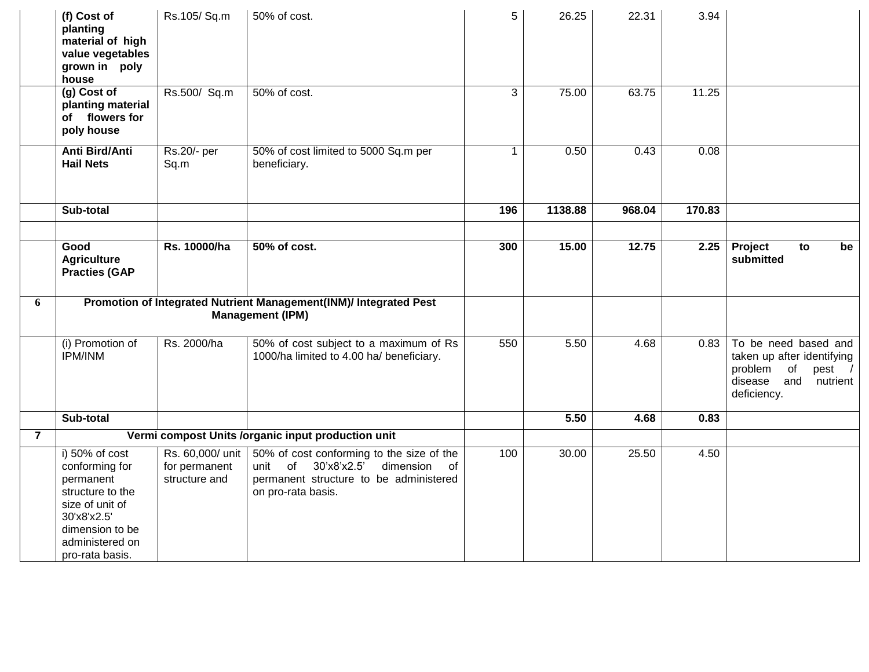|                | (f) Cost of<br>planting<br>material of high<br>value vegetables<br>grown in poly<br>house                                                                    | Rs.105/Sq.m                                        | 50% of cost.                                                                                                                                              | 5            | 26.25   | 22.31  | 3.94   |                                                                                                                              |
|----------------|--------------------------------------------------------------------------------------------------------------------------------------------------------------|----------------------------------------------------|-----------------------------------------------------------------------------------------------------------------------------------------------------------|--------------|---------|--------|--------|------------------------------------------------------------------------------------------------------------------------------|
|                | (g) Cost of<br>planting material<br>of flowers for<br>poly house                                                                                             | Rs.500/ Sq.m                                       | 50% of cost.                                                                                                                                              | 3            | 75.00   | 63.75  | 11.25  |                                                                                                                              |
|                | Anti Bird/Anti<br><b>Hail Nets</b>                                                                                                                           | Rs.20/- per<br>Sq.m                                | 50% of cost limited to 5000 Sq.m per<br>beneficiary.                                                                                                      | $\mathbf{1}$ | 0.50    | 0.43   | 0.08   |                                                                                                                              |
|                | Sub-total                                                                                                                                                    |                                                    |                                                                                                                                                           | 196          | 1138.88 | 968.04 | 170.83 |                                                                                                                              |
|                |                                                                                                                                                              |                                                    |                                                                                                                                                           |              |         |        |        |                                                                                                                              |
|                | Good<br><b>Agriculture</b><br><b>Practies (GAP</b>                                                                                                           | Rs. 10000/ha                                       | 50% of cost.                                                                                                                                              | 300          | 15.00   | 12.75  | 2.25   | Project<br>to<br>be<br>submitted                                                                                             |
| 6              | Promotion of Integrated Nutrient Management(INM)/ Integrated Pest<br><b>Management (IPM)</b>                                                                 |                                                    |                                                                                                                                                           |              |         |        |        |                                                                                                                              |
|                | (i) Promotion of<br><b>IPM/INM</b>                                                                                                                           | Rs. 2000/ha                                        | 50% of cost subject to a maximum of Rs<br>1000/ha limited to 4.00 ha/ beneficiary.                                                                        | 550          | 5.50    | 4.68   | 0.83   | To be need based and<br>taken up after identifying<br>problem<br>of<br>pest $/$<br>disease<br>and<br>nutrient<br>deficiency. |
|                | Sub-total                                                                                                                                                    |                                                    |                                                                                                                                                           |              | 5.50    | 4.68   | 0.83   |                                                                                                                              |
| $\overline{7}$ |                                                                                                                                                              |                                                    | Vermi compost Units /organic input production unit                                                                                                        |              |         |        |        |                                                                                                                              |
|                | i) 50% of cost<br>conforming for<br>permanent<br>structure to the<br>size of unit of<br>30'x8'x2.5'<br>dimension to be<br>administered on<br>pro-rata basis. | Rs. 60,000/ unit<br>for permanent<br>structure and | 50% of cost conforming to the size of the<br>dimension<br>of<br>30'x8'x2.5'<br>unit<br>of<br>permanent structure to be administered<br>on pro-rata basis. | 100          | 30.00   | 25.50  | 4.50   |                                                                                                                              |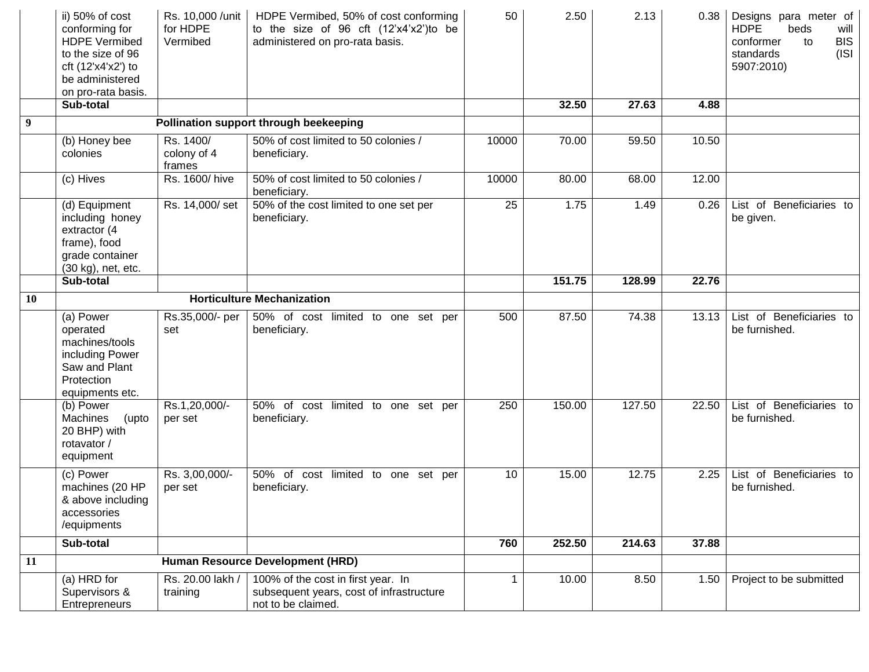|                | ii) 50% of cost<br>conforming for<br><b>HDPE Vermibed</b><br>to the size of 96<br>cft $(12'x4'x2')$ to<br>be administered<br>on pro-rata basis. | Rs. 10,000 / unit<br>for HDPE<br>Vermibed | HDPE Vermibed, 50% of cost conforming<br>to the size of 96 cft (12'x4'x2')to be<br>administered on pro-rata basis. | 50               | 2.50   | 2.13   | 0.38  | Designs para meter of<br><b>HDPE</b><br>beds<br>will<br><b>BIS</b><br>conformer<br>to<br>standards<br>(ISI<br>5907:2010) |
|----------------|-------------------------------------------------------------------------------------------------------------------------------------------------|-------------------------------------------|--------------------------------------------------------------------------------------------------------------------|------------------|--------|--------|-------|--------------------------------------------------------------------------------------------------------------------------|
|                | Sub-total                                                                                                                                       |                                           |                                                                                                                    |                  | 32.50  | 27.63  | 4.88  |                                                                                                                          |
| $\overline{9}$ |                                                                                                                                                 |                                           | Pollination support through beekeeping                                                                             |                  |        |        |       |                                                                                                                          |
|                | (b) Honey bee<br>colonies                                                                                                                       | Rs. 1400/<br>colony of 4<br>frames        | 50% of cost limited to 50 colonies /<br>beneficiary.                                                               | 10000            | 70.00  | 59.50  | 10.50 |                                                                                                                          |
|                | (c) Hives                                                                                                                                       | Rs. 1600/hive                             | 50% of cost limited to 50 colonies /<br>beneficiary.                                                               | 10000            | 80.00  | 68.00  | 12.00 |                                                                                                                          |
|                | (d) Equipment<br>including honey<br>extractor (4<br>frame), food<br>grade container<br>(30 kg), net, etc.                                       | Rs. 14,000/set                            | 50% of the cost limited to one set per<br>beneficiary.                                                             | 25               | 1.75   | 1.49   | 0.26  | List of Beneficiaries to<br>be given.                                                                                    |
|                | Sub-total                                                                                                                                       |                                           |                                                                                                                    |                  | 151.75 | 128.99 | 22.76 |                                                                                                                          |
| <b>10</b>      | <b>Horticulture Mechanization</b>                                                                                                               |                                           |                                                                                                                    |                  |        |        |       |                                                                                                                          |
|                | (a) Power<br>operated<br>machines/tools<br>including Power<br>Saw and Plant<br>Protection<br>equipments etc.                                    | Rs.35,000/- per<br>set                    | 50% of cost limited to one set per<br>beneficiary.                                                                 | 500              | 87.50  | 74.38  | 13.13 | List of Beneficiaries to<br>be furnished.                                                                                |
|                | (b) Power<br>Machines<br>(upto<br>20 BHP) with<br>rotavator /<br>equipment                                                                      | Rs.1,20,000/-<br>per set                  | 50% of cost limited to one set per<br>beneficiary.                                                                 | 250              | 150.00 | 127.50 | 22.50 | List of Beneficiaries to<br>be furnished.                                                                                |
|                | (c) Power<br>machines (20 HP<br>& above including<br>accessories<br>/equipments                                                                 | Rs. 3,00,000/-<br>per set                 | 50% of cost<br>limited to one set per<br>beneficiary.                                                              | 10               | 15.00  | 12.75  | 2.25  | List of Beneficiaries to<br>be furnished.                                                                                |
|                | Sub-total                                                                                                                                       |                                           |                                                                                                                    | $\overline{760}$ | 252.50 | 214.63 | 37.88 |                                                                                                                          |
| 11             |                                                                                                                                                 |                                           | Human Resource Development (HRD)                                                                                   |                  |        |        |       |                                                                                                                          |
|                | (a) HRD for<br>Supervisors &<br>Entrepreneurs                                                                                                   | Rs. 20.00 lakh /<br>training              | 100% of the cost in first year. In<br>subsequent years, cost of infrastructure<br>not to be claimed.               | $\mathbf{1}$     | 10.00  | 8.50   | 1.50  | Project to be submitted                                                                                                  |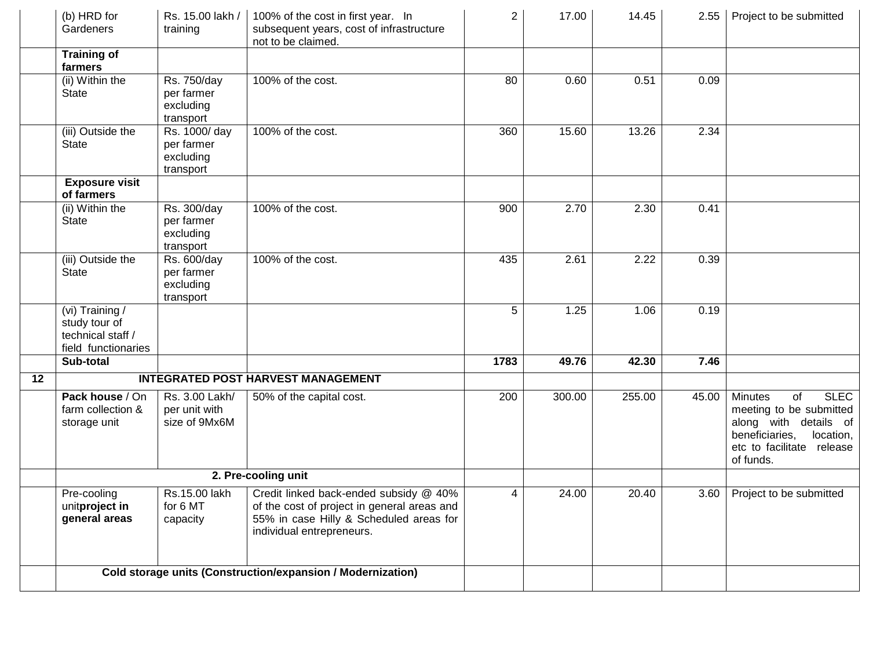|    | (b) HRD for<br>Gardeners                                                     | Rs. 15.00 lakh /<br>training                          | 100% of the cost in first year. In<br>subsequent years, cost of infrastructure<br>not to be claimed.                                                          | $\overline{2}$ | 17.00  | 14.45  | 2.55  | Project to be submitted                                                                                                                                          |
|----|------------------------------------------------------------------------------|-------------------------------------------------------|---------------------------------------------------------------------------------------------------------------------------------------------------------------|----------------|--------|--------|-------|------------------------------------------------------------------------------------------------------------------------------------------------------------------|
|    | <b>Training of</b><br>farmers                                                |                                                       |                                                                                                                                                               |                |        |        |       |                                                                                                                                                                  |
|    | (ii) Within the<br><b>State</b>                                              | Rs. 750/day<br>per farmer<br>excluding<br>transport   | 100% of the cost.                                                                                                                                             | 80             | 0.60   | 0.51   | 0.09  |                                                                                                                                                                  |
|    | (iii) Outside the<br><b>State</b>                                            | Rs. 1000/ day<br>per farmer<br>excluding<br>transport | 100% of the cost.                                                                                                                                             | 360            | 15.60  | 13.26  | 2.34  |                                                                                                                                                                  |
|    | <b>Exposure visit</b><br>of farmers                                          |                                                       |                                                                                                                                                               |                |        |        |       |                                                                                                                                                                  |
|    | (ii) Within the<br><b>State</b>                                              | Rs. 300/day<br>per farmer<br>excluding<br>transport   | 100% of the cost.                                                                                                                                             | 900            | 2.70   | 2.30   | 0.41  |                                                                                                                                                                  |
|    | (iii) Outside the<br>State                                                   | Rs. 600/day<br>per farmer<br>excluding<br>transport   | 100% of the cost.                                                                                                                                             | 435            | 2.61   | 2.22   | 0.39  |                                                                                                                                                                  |
|    | (vi) Training /<br>study tour of<br>technical staff /<br>field functionaries |                                                       |                                                                                                                                                               | 5              | 1.25   | 1.06   | 0.19  |                                                                                                                                                                  |
|    | Sub-total                                                                    |                                                       |                                                                                                                                                               | 1783           | 49.76  | 42.30  | 7.46  |                                                                                                                                                                  |
| 12 |                                                                              |                                                       | <b>INTEGRATED POST HARVEST MANAGEMENT</b>                                                                                                                     |                |        |        |       |                                                                                                                                                                  |
|    | Pack house / On<br>farm collection &<br>storage unit                         | Rs. 3.00 Lakh/<br>per unit with<br>size of 9Mx6M      | 50% of the capital cost.                                                                                                                                      | 200            | 300.00 | 255.00 | 45.00 | <b>SLEC</b><br><b>Minutes</b><br>of<br>meeting to be submitted<br>along with details of<br>beneficiaries,<br>location,<br>etc to facilitate release<br>of funds. |
|    | 2. Pre-cooling unit                                                          |                                                       |                                                                                                                                                               |                |        |        |       |                                                                                                                                                                  |
|    | Pre-cooling<br>unitproject in<br>general areas                               | Rs.15.00 lakh<br>for 6 MT<br>capacity                 | Credit linked back-ended subsidy @ 40%<br>of the cost of project in general areas and<br>55% in case Hilly & Scheduled areas for<br>individual entrepreneurs. | 4              | 24.00  | 20.40  | 3.60  | Project to be submitted                                                                                                                                          |
|    | Cold storage units (Construction/expansion / Modernization)                  |                                                       |                                                                                                                                                               |                |        |        |       |                                                                                                                                                                  |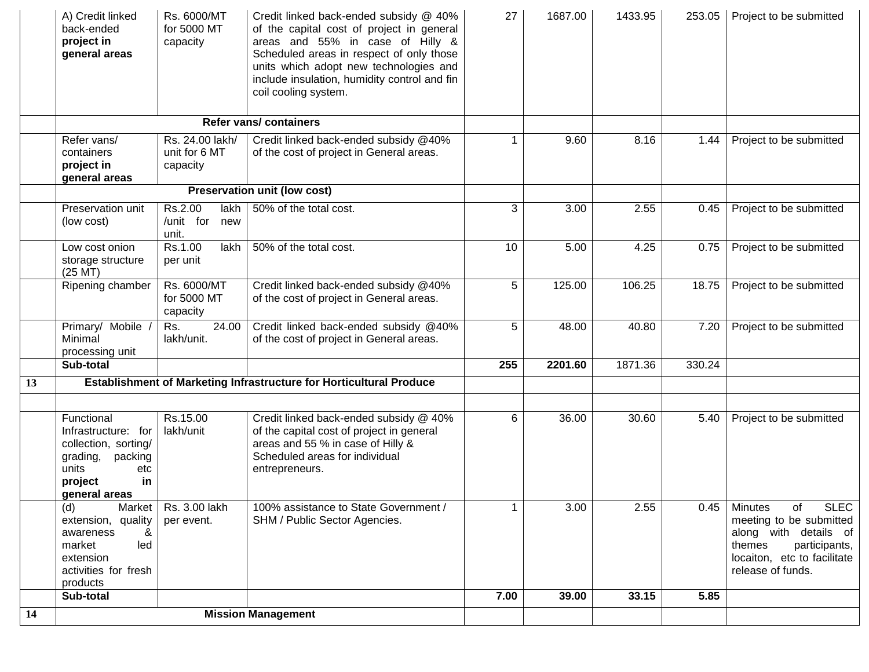|    | A) Credit linked<br>back-ended<br>project in<br>general areas                                                                   | Rs. 6000/MT<br>for 5000 MT<br>capacity       | Credit linked back-ended subsidy @ 40%<br>of the capital cost of project in general<br>areas and 55% in case of Hilly &<br>Scheduled areas in respect of only those<br>units which adopt new technologies and<br>include insulation, humidity control and fin<br>coil cooling system. | 27   | 1687.00 | 1433.95 | 253.05 | Project to be submitted                                                                                                                                                |
|----|---------------------------------------------------------------------------------------------------------------------------------|----------------------------------------------|---------------------------------------------------------------------------------------------------------------------------------------------------------------------------------------------------------------------------------------------------------------------------------------|------|---------|---------|--------|------------------------------------------------------------------------------------------------------------------------------------------------------------------------|
|    |                                                                                                                                 |                                              | <b>Refer vans/ containers</b>                                                                                                                                                                                                                                                         |      |         |         |        |                                                                                                                                                                        |
|    | Refer vans/<br>containers<br>project in<br>general areas                                                                        | Rs. 24.00 lakh/<br>unit for 6 MT<br>capacity | Credit linked back-ended subsidy @40%<br>of the cost of project in General areas.                                                                                                                                                                                                     |      | 9.60    | 8.16    | 1.44   | Project to be submitted                                                                                                                                                |
|    |                                                                                                                                 |                                              | Preservation unit (low cost)                                                                                                                                                                                                                                                          |      |         |         |        |                                                                                                                                                                        |
|    | Preservation unit<br>(low cost)                                                                                                 | Rs.2.00<br>lakh<br>/unit for<br>new<br>unit. | 50% of the total cost.                                                                                                                                                                                                                                                                | 3    | 3.00    | 2.55    | 0.45   | Project to be submitted                                                                                                                                                |
|    | Low cost onion<br>storage structure<br>$(25$ MT $)$                                                                             | Rs.1.00<br>lakh<br>per unit                  | 50% of the total cost.                                                                                                                                                                                                                                                                | 10   | 5.00    | 4.25    | 0.75   | Project to be submitted                                                                                                                                                |
|    | Ripening chamber                                                                                                                | Rs. 6000/MT<br>for 5000 MT<br>capacity       | Credit linked back-ended subsidy @40%<br>of the cost of project in General areas.                                                                                                                                                                                                     | 5    | 125.00  | 106.25  | 18.75  | Project to be submitted                                                                                                                                                |
|    | Primary/ Mobile<br>Minimal<br>processing unit                                                                                   | Rs.<br>24.00<br>lakh/unit.                   | Credit linked back-ended subsidy @40%<br>of the cost of project in General areas.                                                                                                                                                                                                     | 5    | 48.00   | 40.80   | 7.20   | Project to be submitted                                                                                                                                                |
|    | Sub-total                                                                                                                       |                                              |                                                                                                                                                                                                                                                                                       | 255  | 2201.60 | 1871.36 | 330.24 |                                                                                                                                                                        |
| 13 |                                                                                                                                 |                                              | Establishment of Marketing Infrastructure for Horticultural Produce                                                                                                                                                                                                                   |      |         |         |        |                                                                                                                                                                        |
|    |                                                                                                                                 |                                              |                                                                                                                                                                                                                                                                                       |      |         |         |        |                                                                                                                                                                        |
|    | Functional<br>Infrastructure: for<br>collection, sorting/<br>grading, packing<br>units<br>etc<br>in<br>project<br>general areas | Rs.15.00<br>lakh/unit                        | Credit linked back-ended subsidy @ 40%<br>of the capital cost of project in general<br>areas and 55 % in case of Hilly &<br>Scheduled areas for individual<br>entrepreneurs.                                                                                                          | 6    | 36.00   | 30.60   | 5.40   | Project to be submitted                                                                                                                                                |
|    | (d)<br>Market<br>extension, quality<br>&<br>awareness<br>led<br>market<br>extension<br>activities for fresh<br>products         | Rs. 3.00 lakh<br>per event.                  | 100% assistance to State Government /<br>SHM / Public Sector Agencies.                                                                                                                                                                                                                |      | 3.00    | 2.55    |        | $0.45$ Minutes<br><b>SLEC</b><br>of<br>meeting to be submitted<br>along with details of<br>participants,<br>themes<br>locaiton, etc to facilitate<br>release of funds. |
|    | Sub-total                                                                                                                       |                                              |                                                                                                                                                                                                                                                                                       | 7.00 | 39.00   | 33.15   | 5.85   |                                                                                                                                                                        |
| 14 |                                                                                                                                 |                                              | <b>Mission Management</b>                                                                                                                                                                                                                                                             |      |         |         |        |                                                                                                                                                                        |